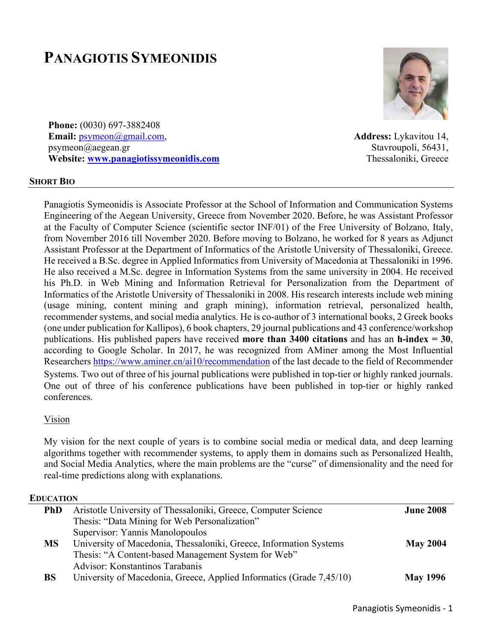# **PANAGIOTIS SYMEONIDIS**



**Phone:** (0030) 697-3882408 **Email:** psymeon@gmail.com, psymeon@aegean.gr **Website: www.panagiotissymeonidis.com**

**Address:** Lykavitou 14, Stavroupoli, 56431, Thessaloniki, Greece

#### **SHORT BIO**

Panagiotis Symeonidis is Associate Professor at the School of Information and Communication Systems Engineering of the Aegean University, Greece from November 2020. Before, he was Assistant Professor at the Faculty of Computer Science (scientific sector INF/01) of the Free University of Bolzano, Italy, from November 2016 till November 2020. Before moving to Bolzano, he worked for 8 years as Adjunct Assistant Professor at the Department of Informatics of the Aristotle University of Thessaloniki, Greece. He received a B.Sc. degree in Applied Informatics from University of Macedonia at Thessaloniki in 1996. He also received a M.Sc. degree in Information Systems from the same university in 2004. He received his Ph.D. in Web Mining and Information Retrieval for Personalization from the Department of Informatics of the Aristotle University of Thessaloniki in 2008. His research interests include web mining (usage mining, content mining and graph mining), information retrieval, personalized health, recommender systems, and social media analytics. He is co-author of 3 international books, 2 Greek books (one under publication for Kallipos), 6 book chapters, 29 journal publications and 43 conference/workshop publications. His published papers have received **more than 3400 citations** and has an **h-index = 30**, according to Google Scholar. In 2017, he was recognized from AMiner among the Most Influential Researchers https://www.aminer.cn/ai10/recommendation of the last decade to the field of Recommender Systems. Two out of three of his journal publications were published in top-tier or highly ranked journals. One out of three of his conference publications have been published in top-tier or highly ranked conferences.

#### Vision

My vision for the next couple of years is to combine social media or medical data, and deep learning algorithms together with recommender systems, to apply them in domains such as Personalized Health, and Social Media Analytics, where the main problems are the "curse" of dimensionality and the need for real-time predictions along with explanations.

#### **EDUCATION**

| <b>PhD</b> | Aristotle University of Thessaloniki, Greece, Computer Science       |                 |
|------------|----------------------------------------------------------------------|-----------------|
|            | Thesis: "Data Mining for Web Personalization"                        |                 |
|            | Supervisor: Yannis Manolopoulos                                      |                 |
| <b>MS</b>  | University of Macedonia, Thessaloniki, Greece, Information Systems   | <b>May 2004</b> |
|            | Thesis: "A Content-based Management System for Web"                  |                 |
|            | Advisor: Konstantinos Tarabanis                                      |                 |
| <b>BS</b>  | University of Macedonia, Greece, Applied Informatics (Grade 7,45/10) | <b>May 1996</b> |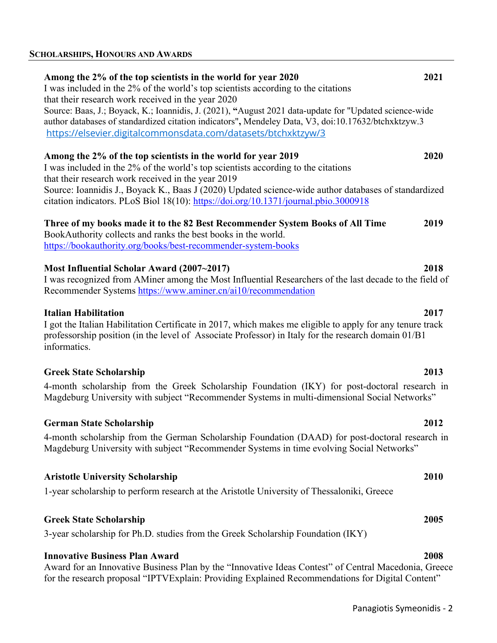| Among the 2% of the top scientists in the world for year 2020<br>I was included in the 2% of the world's top scientists according to the citations<br>that their research work received in the year 2020<br>Source: Baas, J.; Boyack, K.; Ioannidis, J. (2021), "August 2021 data-update for "Updated science-wide<br>author databases of standardized citation indicators", Mendeley Data, V3, doi:10.17632/btchxktzyw.3<br>https://elsevier.digitalcommonsdata.com/datasets/btchxktzyw/3 | 2021 |  |
|--------------------------------------------------------------------------------------------------------------------------------------------------------------------------------------------------------------------------------------------------------------------------------------------------------------------------------------------------------------------------------------------------------------------------------------------------------------------------------------------|------|--|
| Among the 2% of the top scientists in the world for year 2019<br>I was included in the 2% of the world's top scientists according to the citations<br>that their research work received in the year 2019                                                                                                                                                                                                                                                                                   | 2020 |  |
| Source: Ioannidis J., Boyack K., Baas J (2020) Updated science-wide author databases of standardized<br>citation indicators. PLoS Biol 18(10): https://doi.org/10.1371/journal.pbio.3000918                                                                                                                                                                                                                                                                                                |      |  |
| Three of my books made it to the 82 Best Recommender System Books of All Time<br>BookAuthority collects and ranks the best books in the world.<br>https://bookauthority.org/books/best-recommender-system-books                                                                                                                                                                                                                                                                            | 2019 |  |
| Most Influential Scholar Award (2007~2017)<br>I was recognized from AMiner among the Most Influential Researchers of the last decade to the field of<br>Recommender Systems https://www.aminer.cn/ai10/recommendation                                                                                                                                                                                                                                                                      | 2018 |  |
| <b>Italian Habilitation</b><br>I got the Italian Habilitation Certificate in 2017, which makes me eligible to apply for any tenure track<br>professorship position (in the level of Associate Professor) in Italy for the research domain 01/B1<br>informatics.                                                                                                                                                                                                                            | 2017 |  |
| <b>Greek State Scholarship</b>                                                                                                                                                                                                                                                                                                                                                                                                                                                             | 2013 |  |

4-month scholarship from the Greek Scholarship Foundation (IKY) for post-doctoral research in Magdeburg University with subject "Recommender Systems in multi-dimensional Social Networks"

### **German State Scholarship 2012**

4-month scholarship from the German Scholarship Foundation (DAAD) for post-doctoral research in Magdeburg University with subject "Recommender Systems in time evolving Social Networks"

#### **Aristotle University Scholarship 2010**

1-year scholarship to perform research at the Aristotle University of Thessaloniki, Greece

### **Greek State Scholarship 2005**

3-year scholarship for Ph.D. studies from the Greek Scholarship Foundation (IKY)

### **Innovative Business Plan Award 2008**

Award for an Innovative Business Plan by the "Innovative Ideas Contest" of Central Macedonia, Greece for the research proposal "IPTVExplain: Providing Explained Recommendations for Digital Content"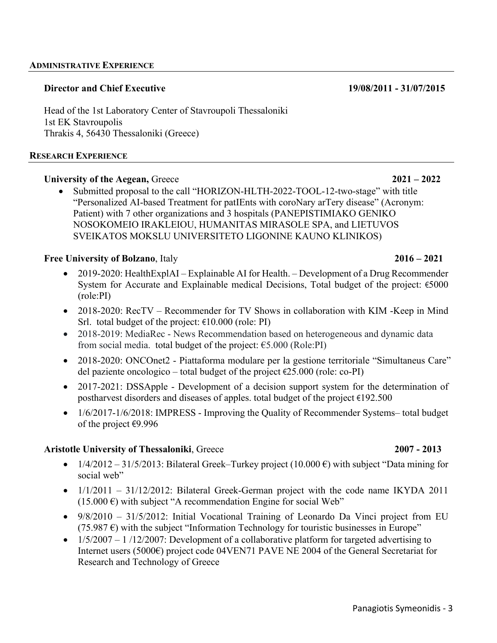#### **Director and Chief Executive 19/08/2011 - 31/07/2015**

Head of the 1st Laboratory Center of Stavroupoli Thessaloniki 1st EK Stavroupolis Thrakis 4, 56430 Thessaloniki (Greece)

#### **RESEARCH EXPERIENCE**

### **University of the Aegean,** Greece **2021 – 2022**

• Submitted proposal to the call "HORIZON-HLTH-2022-TOOL-12-two-stage" with title "Personalized AI-based Treatment for patIEnts with coroNary arTery disease" (Acronym: Patient) with 7 other organizations and 3 hospitals (PANEPISTIMIAKO GENIKO NOSOKOMEIO IRAKLEIOU, HUMANITAS MIRASOLE SPA, and LIETUVOS SVEIKATOS MOKSLU UNIVERSITETO LIGONINE KAUNO KLINIKOS)

### **Free University of Bolzano**, Italy **2016 – 2021**

- 2019-2020: HealthExplAI Explainable AI for Health. Development of a Drug Recommender System for Accurate and Explainable medical Decisions, Total budget of the project: €5000 (role:PI)
- 2018-2020: RecTV Recommender for TV Shows in collaboration with KIM -Keep in Mind Srl. total budget of the project:  $\epsilon$ 10.000 (role: PI)
- 2018-2019: MediaRec News Recommendation based on heterogeneous and dynamic data from social media. total budget of the project:  $\epsilon$ 5.000 (Role:PI)
- 2018-2020: ONCOnet2 Piattaforma modulare per la gestione territoriale "Simultaneus Care" del paziente oncologico – total budget of the project  $\epsilon$ 25.000 (role: co-PI)
- 2017-2021: DSSApple Development of a decision support system for the determination of postharvest disorders and diseases of apples. total budget of the project €192.500
- $1/6/2017-1/6/2018$ : IMPRESS Improving the Quality of Recommender Systems-total budget of the project €9.996

### **Aristotle University of Thessaloniki**, Greece **2007 - 2013**

- $1/4/2012 31/5/2013$ : Bilateral Greek–Turkey project (10.000 €) with subject "Data mining for social web"
- $1/1/2011 31/12/2012$ : Bilateral Greek-German project with the code name IKYDA 2011  $(15.000 \text{ } \epsilon)$  with subject "A recommendation Engine for social Web"
- 9/8/2010 31/5/2012: Initial Vocational Training of Leonardo Da Vinci project from EU (75.987  $\epsilon$ ) with the subject "Information Technology for touristic businesses in Europe"
- $1/5/2007 1/12/2007$ : Development of a collaborative platform for targeted advertising to Internet users (5000€) project code 04VEN71 PAVE NE 2004 of the General Secretariat for Research and Technology of Greece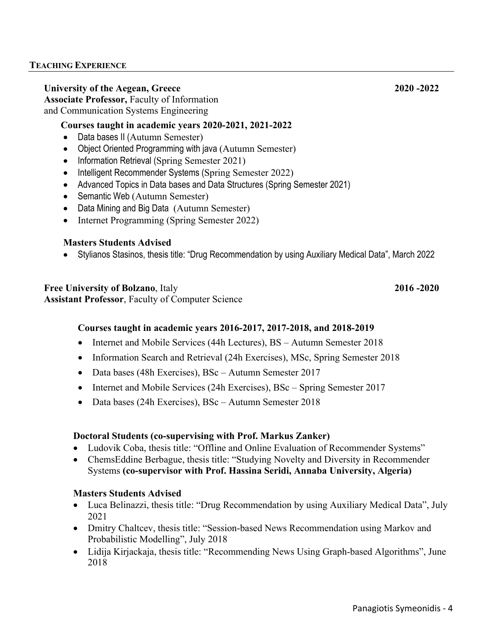### **University of the Aegean, Greece 2020 -2022**

**Associate Professor,** Faculty of Information and Communication Systems Engineering

### **Courses taught in academic years 2020-2021, 2021-2022**

- Data bases II (Autumn Semester)
- Object Oriented Programming with java (Autumn Semester)
- Information Retrieval (Spring Semester 2021)
- Intelligent Recommender Systems (Spring Semester 2022)
- Advanced Topics in Data bases and Data Structures (Spring Semester 2021)
- Semantic Web (Autumn Semester)
- Data Mining and Big Data (Autumn Semester)
- Internet Programming (Spring Semester 2022)

### **Masters Students Advised**

• Stylianos Stasinos, thesis title: "Drug Recommendation by using Auxiliary Medical Data", March 2022

### **Free University of Bolzano**, Italy **2016 -2020**

**Assistant Professor**, Faculty of Computer Science

### **Courses taught in academic years 2016-2017, 2017-2018, and 2018-2019**

- Internet and Mobile Services (44h Lectures), BS Autumn Semester 2018
- Information Search and Retrieval (24h Exercises), MSc, Spring Semester 2018
- Data bases (48h Exercises), BSc Autumn Semester 2017
- Internet and Mobile Services (24h Exercises), BSc Spring Semester 2017
- Data bases (24h Exercises), BSc Autumn Semester 2018

### **Doctoral Students (co-supervising with Prof. Markus Zanker)**

- Ludovik Coba, thesis title: "Offline and Online Evaluation of Recommender Systems"
- ChemsEddine Berbague, thesis title: "Studying Novelty and Diversity in Recommender Systems **(co-supervisor with Prof. Hassina Seridi, Annaba University, Algeria)**

### **Masters Students Advised**

- Luca Belinazzi, thesis title: "Drug Recommendation by using Auxiliary Medical Data", July 2021
- Dmitry Chaltcev, thesis title: "Session-based News Recommendation using Markov and Probabilistic Modelling", July 2018
- Lidija Kirjackaja, thesis title: "Recommending News Using Graph-based Algorithms", June 2018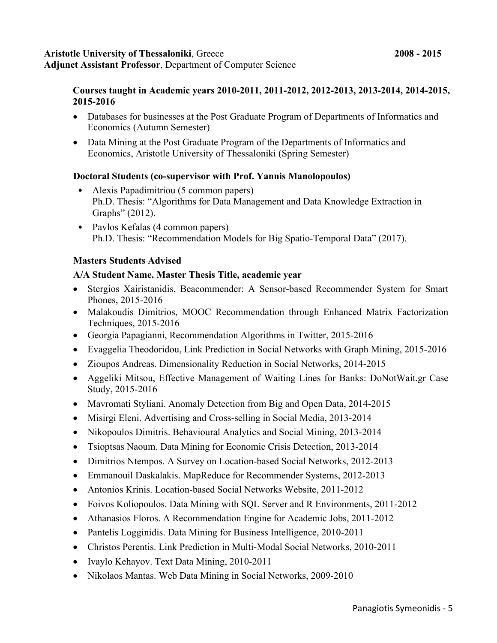#### **Aristotle University of Thessaloniki**, Greece **2008 - 2015 Adjunct Assistant Professor**, Department of Computer Science

# **Courses taught in Academic years 2010-2011, 2011-2012, 2012-2013, 2013-2014, 2014-2015, 2015-2016**

- Databases for businesses at the Post Graduate Program of Departments of Informatics and Economics (Autumn Semester)
- Data Mining at the Post Graduate Program of the Departments of Informatics and Economics, Aristotle University of Thessaloniki (Spring Semester)

# **Doctoral Students (co-supervisor with Prof. Yannis Manolopoulos)**

- Alexis Papadimitriou (5 common papers) Ph.D. Thesis: "Algorithms for Data Management and Data Knowledge Extraction in Graphs" (2012).
- Pavlos Kefalas (4 common papers) Ph.D. Thesis: "Recommendation Models for Big Spatio-Temporal Data" (2017).

# **Masters Students Advised**

# **Α/Α Student Name. Master Thesis Title, academic year**

- Stergios Xairistanidis, Beacommender: A Sensor-based Recommender System for Smart Phones, 2015-2016
- Malakoudis Dimitrios, MOOC Recommendation through Enhanced Matrix Factorization Techniques, 2015-2016
- Georgia Papagianni, Recommendation Algorithms in Twitter, 2015-2016
- Evaggelia Theodoridou, Link Prediction in Social Networks with Graph Mining, 2015-2016
- Zioupos Andreas. Dimensionality Reduction in Social Networks, 2014-2015
- Aggeliki Mitsou, Effective Management of Waiting Lines for Banks: DoNotWait.gr Case Study, 2015-2016
- Mavromati Styliani. Anomaly Detection from Big and Open Data, 2014-2015
- Misirgi Eleni. Advertising and Cross-selling in Social Media, 2013-2014
- Nikopoulos Dimitris. Behavioural Analytics and Social Mining, 2013-2014
- Tsioptsas Naoum. Data Mining for Economic Crisis Detection, 2013-2014
- Dimitrios Ntempos. A Survey on Location-based Social Networks, 2012-2013
- Emmanouil Daskalakis. MapReduce for Recommender Systems, 2012-2013
- Antonios Krinis. Location-based Social Networks Website, 2011-2012
- Foivos Koliopoulos. Data Mining with SQL Server and R Environments, 2011-2012
- Athanasios Floros. A Recommendation Engine for Academic Jobs, 2011-2012
- Pantelis Logginidis. Data Mining for Business Intelligence, 2010-2011
- Christos Perentis. Link Prediction in Multi-Modal Social Networks, 2010-2011
- Ivaylo Kehayov. Text Data Mining, 2010-2011
- Nikolaos Mantas. Web Data Mining in Social Networks, 2009-2010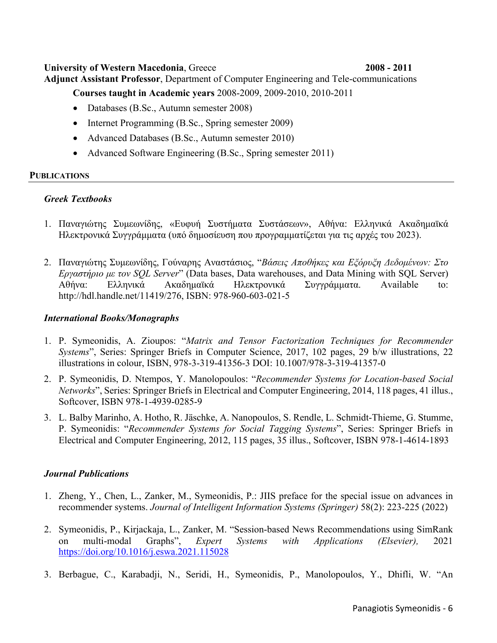### **University of Western Macedonia**, Greece **2008 - 2011**

**Adjunct Assistant Professor**, Department of Computer Engineering and Tele-communications **Courses taught in Academic years** 2008-2009, 2009-2010, 2010-2011

- Databases (B.Sc., Autumn semester 2008)
- Internet Programming (B.Sc., Spring semester 2009)
- Advanced Databases (B.Sc., Autumn semester 2010)
- Advanced Software Engineering (B.Sc., Spring semester 2011)

### **PUBLICATIONS**

# *Greek Textbooks*

- 1. Παναγιώτης Συμεωνίδης, «Ευφυή Συστήματα Συστάσεων», Αθήνα: Ελληνικά Ακαδημαϊκά Ηλεκτρονικά Συγγράμματα (υπό δημοσίευση που προγραμματίζεται για τις αρχές του 2023).
- 2. Παναγιώτης Συμεωνίδης, Γούναρης Αναστάσιος, "*Βάσεις Αποθήκες και Εξόρυξη Δεδομένων: Στο Εργαστήριο με τον SQL Server*" (Data bases, Data warehouses, and Data Mining with SQL Server) Αθήνα: Ελληνικά Ακαδημαϊκά Ηλεκτρονικά Συγγράμματα. Available to: http://hdl.handle.net/11419/276, ISBN: 978-960-603-021-5

### *International Books/Monographs*

- 1. P. Symeonidis, A. Zioupos: "*Matrix and Tensor Factorization Techniques for Recommender Systems*", Series: Springer Briefs in Computer Science, 2017, 102 pages, 29 b/w illustrations, 22 illustrations in colour, ISBN, 978-3-319-41356-3 DOI: 10.1007/978-3-319-41357-0
- 2. P. Symeonidis, D. Ntempos, Y. Manolopoulos: "*Recommender Systems for Location-based Social Networks*", Series: Springer Briefs in Electrical and Computer Engineering, 2014, 118 pages, 41 illus., Softcover, ISBN 978-1-4939-0285-9
- 3. L. Balby Marinho, A. Hotho, R. Jäschke, A. Nanopoulos, S. Rendle, L. Schmidt-Thieme, G. Stumme, P. Symeonidis: "*Recommender Systems for Social Tagging Systems*", Series: Springer Briefs in Electrical and Computer Engineering, 2012, 115 pages, 35 illus., Softcover, ISBN 978-1-4614-1893

# *Journal Publications*

- 1. Zheng, Y., Chen, L., Zanker, M., Symeonidis, P.: JIIS preface for the special issue on advances in recommender systems. *Journal of Intelligent Information Systems (Springer)* 58(2): 223-225 (2022)
- 2. Symeonidis, P., Kirjackaja, L., Zanker, M. "Session-based News Recommendations using SimRank on multi-modal Graphs", *Expert Systems with Applications (Elsevier),* 2021 https://doi.org/10.1016/j.eswa.2021.115028
- 3. Berbague, C., Karabadji, N., Seridi, H., Symeonidis, P., Manolopoulos, Y., Dhifli, W. "An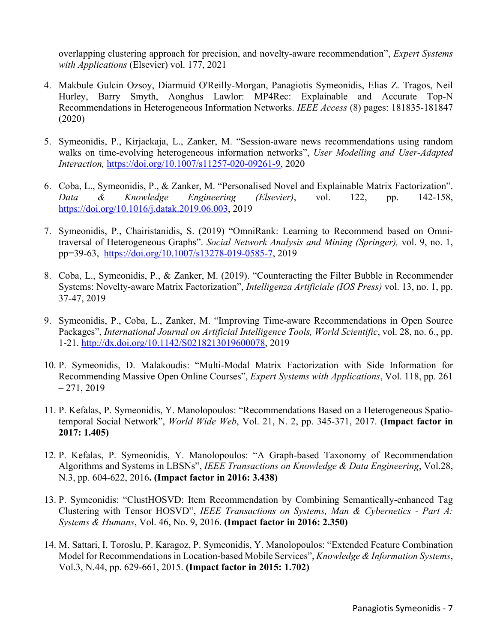overlapping clustering approach for precision, and novelty-aware recommendation", *Expert Systems with Applications* (Elsevier) vol. 177, 2021

- 4. Makbule Gulcin Ozsoy, Diarmuid O'Reilly-Morgan, Panagiotis Symeonidis, Elias Z. Tragos, Neil Hurley, Barry Smyth, Aonghus Lawlor: MP4Rec: Explainable and Accurate Top-N Recommendations in Heterogeneous Information Networks. *IEEE Access* (8) pages: 181835-181847 (2020)
- 5. Symeonidis, P., Kirjackaja, L., Zanker, M. "Session‑aware news recommendations using random walks on time‑evolving heterogeneous information networks", *User Modelling and User-Adapted Interaction,* https://doi.org/10.1007/s11257-020-09261-9, 2020
- 6. Coba, L., Symeonidis, P., & Zanker, M. "Personalised Novel and Explainable Matrix Factorization". *Data & Knowledge Engineering (Elsevier)*, vol. 122, pp. 142-158, https://doi.org/10.1016/j.datak.2019.06.003, 2019
- 7. Symeonidis, P., Chairistanidis, S. (2019) "OmniRank: Learning to Recommend based on Omnitraversal of Heterogeneous Graphs". *Social Network Analysis and Mining (Springer),* vol. 9, no. 1, pp=39-63, https://doi.org/10.1007/s13278-019-0585-7, 2019
- 8. Coba, L., Symeonidis, P., & Zanker, M. (2019). "Counteracting the Filter Bubble in Recommender Systems: Novelty-aware Matrix Factorization", *Intelligenza Artificiale (IOS Press)* vol. 13, no. 1, pp. 37-47, 2019
- 9. Symeonidis, P., Coba, L., Zanker, M. "Improving Time-aware Recommendations in Open Source Packages", *International Journal on Artificial Intelligence Tools, World Scientific*, vol. 28, no. 6., pp. 1-21. http://dx.doi.org/10.1142/S0218213019600078, 2019
- 10. P. Symeonidis, D. Malakoudis: "Multi-Modal Matrix Factorization with Side Information for Recommending Massive Open Online Courses", *Expert Systems with Applications*, Vol. 118, pp. 261  $-271, 2019$
- 11. P. Kefalas, P. Symeonidis, Y. Manolopoulos: "Recommendations Based on a Heterogeneous Spatiotemporal Social Network", *World Wide Web*, Vol. 21, N. 2, pp. 345-371, 2017. **(Impact factor in 2017: 1.405)**
- 12. P. Kefalas, P. Symeonidis, Y. Manolopoulos: "A Graph-based Taxonomy of Recommendation Algorithms and Systems in LBSNs", *IEEE Transactions on Knowledge & Data Engineering*, Vol.28, N.3, pp. 604-622, 2016**. (Impact factor in 2016: 3.438)**
- 13. P. Symeonidis: "ClustHOSVD: Item Recommendation by Combining Semantically-enhanced Tag Clustering with Tensor HOSVD", *IEEE Transactions on Systems, Man & Cybernetics - Part A: Systems & Humans*, Vol. 46, No. 9, 2016. **(Impact factor in 2016: 2.350)**
- 14. M. Sattari, I. Toroslu, P. Karagoz, P. Symeonidis, Y. Manolopoulos: "Extended Feature Combination Model for Recommendations in Location-based Mobile Services", *Knowledge & Information Systems*, Vol.3, N.44, pp. 629-661, 2015. **(Impact factor in 2015: 1.702)**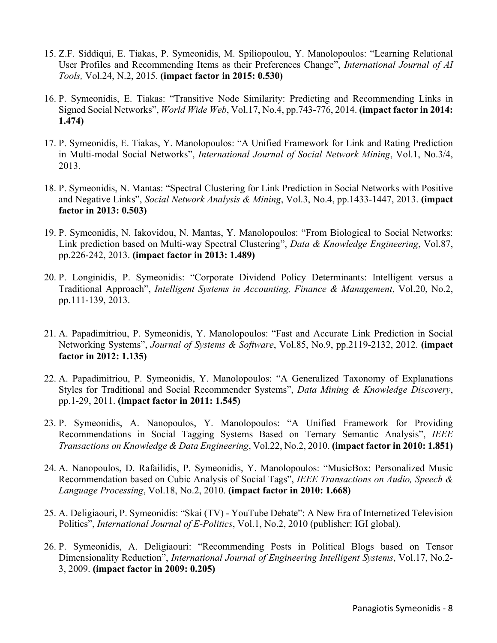- 15. Z.F. Siddiqui, E. Tiakas, P. Symeonidis, M. Spiliopoulou, Y. Manolopoulos: "Learning Relational User Profiles and Recommending Items as their Preferences Change", *International Journal of AI Tools,* Vol.24, N.2, 2015. **(impact factor in 2015: 0.530)**
- 16. P. Symeonidis, E. Tiakas: "Transitive Node Similarity: Predicting and Recommending Links in Signed Social Networks", *World Wide Web*, Vol.17, No.4, pp.743-776, 2014. **(impact factor in 2014: 1.474)**
- 17. P. Symeonidis, E. Tiakas, Y. Manolopoulos: "A Unified Framework for Link and Rating Prediction in Multi-modal Social Networks", *International Journal of Social Network Mining*, Vol.1, No.3/4, 2013.
- 18. P. Symeonidis, N. Mantas: "Spectral Clustering for Link Prediction in Social Networks with Positive and Negative Links", *Social Network Analysis & Mining*, Vol.3, No.4, pp.1433-1447, 2013. **(impact factor in 2013: 0.503)**
- 19. P. Symeonidis, N. Iakovidou, N. Mantas, Y. Manolopoulos: "From Biological to Social Networks: Link prediction based on Multi-way Spectral Clustering", *Data & Knowledge Engineering*, Vol.87, pp.226-242, 2013. **(impact factor in 2013: 1.489)**
- 20. P. Longinidis, P. Symeonidis: "Corporate Dividend Policy Determinants: Intelligent versus a Traditional Approach", *Intelligent Systems in Accounting, Finance & Management*, Vol.20, No.2, pp.111-139, 2013.
- 21. A. Papadimitriou, P. Symeonidis, Y. Manolopoulos: "Fast and Accurate Link Prediction in Social Networking Systems", *Journal of Systems & Software*, Vol.85, No.9, pp.2119-2132, 2012. **(impact factor in 2012: 1.135)**
- 22. A. Papadimitriou, P. Symeonidis, Y. Manolopoulos: "A Generalized Taxonomy of Explanations Styles for Traditional and Social Recommender Systems", *Data Mining & Knowledge Discovery*, pp.1-29, 2011. **(impact factor in 2011: 1.545)**
- 23. P. Symeonidis, A. Nanopoulos, Y. Manolopoulos: "A Unified Framework for Providing Recommendations in Social Tagging Systems Based on Ternary Semantic Analysis", *IEEE Transactions on Knowledge & Data Engineering*, Vol.22, No.2, 2010. **(impact factor in 2010: 1.851)**
- 24. A. Nanopoulos, D. Rafailidis, P. Symeonidis, Y. Manolopoulos: "MusicBox: Personalized Music Recommendation based on Cubic Analysis of Social Tags", *IEEE Transactions on Audio, Speech & Language Processing*, Vol.18, No.2, 2010. **(impact factor in 2010: 1.668)**
- 25. A. Deligiaouri, P. Symeonidis: "Skai (TV) YouTube Debate": A New Era of Internetized Television Politics", *International Journal of E-Politics*, Vol.1, No.2, 2010 (publisher: IGI global).
- 26. P. Symeonidis, A. Deligiaouri: "Recommending Posts in Political Blogs based on Tensor Dimensionality Reduction", *International Journal of Engineering Intelligent Systems*, Vol.17, No.2- 3, 2009. **(impact factor in 2009: 0.205)**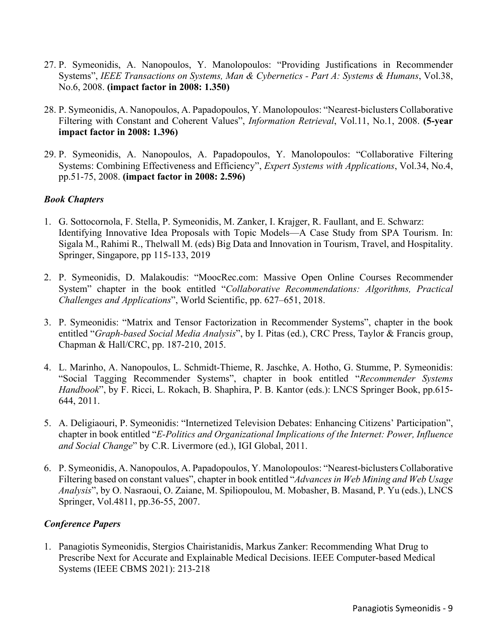- 27. P. Symeonidis, A. Nanopoulos, Y. Manolopoulos: "Providing Justifications in Recommender Systems", *IEEE Transactions on Systems, Man & Cybernetics - Part A: Systems & Humans*, Vol.38, No.6, 2008. **(impact factor in 2008: 1.350)**
- 28. P. Symeonidis, A. Nanopoulos, A. Papadopoulos, Y. Manolopoulos: "Nearest-biclusters Collaborative Filtering with Constant and Coherent Values", *Information Retrieval*, Vol.11, No.1, 2008. **(5-year impact factor in 2008: 1.396)**
- 29. P. Symeonidis, A. Nanopoulos, A. Papadopoulos, Y. Manolopoulos: "Collaborative Filtering Systems: Combining Effectiveness and Efficiency", *Expert Systems with Applications*, Vol.34, No.4, pp.51-75, 2008. **(impact factor in 2008: 2.596)**

# *Book Chapters*

- 1. G. Sottocornola, F. Stella, P. Symeonidis, M. Zanker, I. Krajger, R. Faullant, and E. Schwarz: Identifying Innovative Idea Proposals with Topic Models—A Case Study from SPA Tourism. In: Sigala M., Rahimi R., Thelwall M. (eds) Big Data and Innovation in Tourism, Travel, and Hospitality. Springer, Singapore, pp 115-133, 2019
- 2. P. Symeonidis, D. Malakoudis: "MoocRec.com: Massive Open Online Courses Recommender System" chapter in the book entitled "*Collaborative Recommendations: Algorithms, Practical Challenges and Applications*", World Scientific, pp. 627–651, 2018.
- 3. P. Symeonidis: "Matrix and Tensor Factorization in Recommender Systems", chapter in the book entitled "*Graph-based Social Media Analysis*", by I. Pitas (ed.), CRC Press, Taylor & Francis group, Chapman & Hall/CRC, pp. 187-210, 2015.
- 4. L. Marinho, A. Nanopoulos, L. Schmidt-Thieme, R. Jaschke, A. Hotho, G. Stumme, P. Symeonidis: "Social Tagging Recommender Systems", chapter in book entitled "*Recommender Systems Handbook*", by F. Ricci, L. Rokach, B. Shaphira, P. B. Kantor (eds.): LNCS Springer Book, pp.615- 644, 2011.
- 5. A. Deligiaouri, P. Symeonidis: "Internetized Television Debates: Enhancing Citizens' Participation", chapter in book entitled "*E-Politics and Organizational Implications of the Internet: Power, Influence and Social Change*" by C.R. Livermore (ed.), IGI Global, 2011.
- 6. P. Symeonidis, A. Nanopoulos, A. Papadopoulos, Y. Manolopoulos: "Nearest-biclusters Collaborative Filtering based on constant values", chapter in book entitled "*Advances in Web Mining and Web Usage Analysis*", by O. Nasraoui, O. Zaiane, M. Spiliopoulou, M. Mobasher, B. Masand, P. Yu (eds.), LNCS Springer, Vol.4811, pp.36-55, 2007.

### *Conference Papers*

1. Panagiotis Symeonidis, Stergios Chairistanidis, Markus Zanker: Recommending What Drug to Prescribe Next for Accurate and Explainable Medical Decisions. IEEE Computer-based Medical Systems (IEEE CBMS 2021): 213-218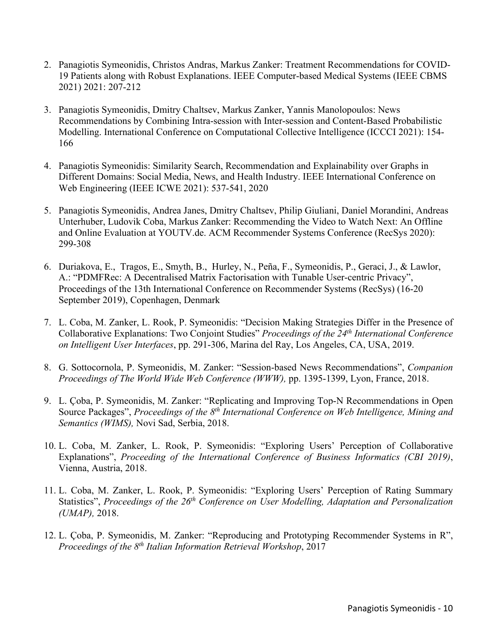- 2. Panagiotis Symeonidis, Christos Andras, Markus Zanker: Treatment Recommendations for COVID-19 Patients along with Robust Explanations. IEEE Computer-based Medical Systems (IEEE CBMS 2021) 2021: 207-212
- 3. Panagiotis Symeonidis, Dmitry Chaltsev, Markus Zanker, Yannis Manolopoulos: News Recommendations by Combining Intra-session with Inter-session and Content-Based Probabilistic Modelling. International Conference on Computational Collective Intelligence (ICCCI 2021): 154- 166
- 4. Panagiotis Symeonidis: Similarity Search, Recommendation and Explainability over Graphs in Different Domains: Social Media, News, and Health Industry. IEEE International Conference on Web Engineering (IEEE ICWE 2021): 537-541, 2020
- 5. Panagiotis Symeonidis, Andrea Janes, Dmitry Chaltsev, Philip Giuliani, Daniel Morandini, Andreas Unterhuber, Ludovik Coba, Markus Zanker: Recommending the Video to Watch Next: An Offline and Online Evaluation at YOUTV.de. ACM Recommender Systems Conference (RecSys 2020): 299-308
- 6. Duriakova, E., Tragos, E., Smyth, B., Hurley, N., Peña, F., Symeonidis, P., Geraci, J., & Lawlor, A.: "PDMFRec: A Decentralised Matrix Factorisation with Tunable User-centric Privacy", Proceedings of the 13th International Conference on Recommender Systems (RecSys) (16-20 September 2019), Copenhagen, Denmark
- 7. L. Coba, M. Zanker, L. Rook, P. Symeonidis: "Decision Making Strategies Differ in the Presence of Collaborative Explanations: Two Conjoint Studies" *Proceedings of the 24th International Conference on Intelligent User Interfaces*, pp. 291-306, Marina del Ray, Los Angeles, CA, USA, 2019.
- 8. G. Sottocornola, P. Symeonidis, M. Zanker: "Session-based News Recommendations", *Companion Proceedings of The World Wide Web Conference (WWW),* pp. 1395-1399, Lyon, France, 2018.
- 9. L. Çoba, P. Symeonidis, M. Zanker: "Replicating and Improving Top-N Recommendations in Open Source Packages", *Proceedings of the 8th International Conference on Web Intelligence, Mining and Semantics (WIMS),* Novi Sad, Serbia, 2018.
- 10. L. Coba, M. Zanker, L. Rook, P. Symeonidis: "Exploring Users' Perception of Collaborative Explanations", *Proceeding of the International Conference of Business Informatics (CBI 2019)*, Vienna, Austria, 2018.
- 11. L. Coba, M. Zanker, L. Rook, P. Symeonidis: "Exploring Users' Perception of Rating Summary Statistics", *Proceedings of the 26<sup>th</sup> Conference on User Modelling, Adaptation and Personalization (UMAP),* 2018.
- 12. L. Çoba, P. Symeonidis, M. Zanker: "Reproducing and Prototyping Recommender Systems in R", *Proceedings of the 8th Italian Information Retrieval Workshop*, 2017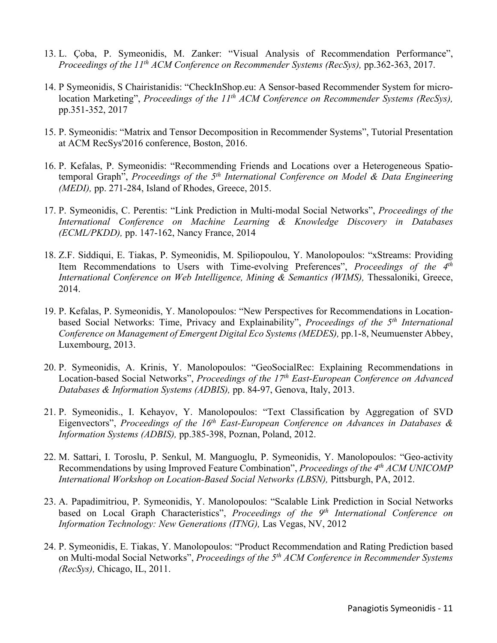- 13. L. Çoba, P. Symeonidis, M. Zanker: "Visual Analysis of Recommendation Performance", *Proceedings of the 11th ACM Conference on Recommender Systems (RecSys),* pp.362-363, 2017.
- 14. P Symeonidis, S Chairistanidis: "CheckInShop.eu: A Sensor-based Recommender System for microlocation Marketing", *Proceedings of the 11th ACM Conference on Recommender Systems (RecSys),* pp.351-352, 2017
- 15. P. Symeonidis: "Matrix and Tensor Decomposition in Recommender Systems", Tutorial Presentation at ACM RecSys'2016 conference, Boston, 2016.
- 16. P. Kefalas, P. Symeonidis: "Recommending Friends and Locations over a Heterogeneous Spatiotemporal Graph", *Proceedings of the 5th International Conference on Model & Data Engineering (MEDI),* pp. 271-284, Island of Rhodes, Greece, 2015.
- 17. P. Symeonidis, C. Perentis: "Link Prediction in Multi-modal Social Networks", *Proceedings of the International Conference on Machine Learning & Knowledge Discovery in Databases (ECML/PKDD),* pp. 147-162, Nancy France, 2014
- 18. Z.F. Siddiqui, E. Tiakas, P. Symeonidis, M. Spiliopoulou, Y. Manolopoulos: "xStreams: Providing Item Recommendations to Users with Time-evolving Preferences", *Proceedings of the 4th International Conference on Web Intelligence, Mining & Semantics (WIMS),* Thessaloniki, Greece, 2014.
- 19. P. Kefalas, P. Symeonidis, Y. Manolopoulos: "New Perspectives for Recommendations in Locationbased Social Networks: Time, Privacy and Explainability", *Proceedings of the 5th International Conference on Management of Emergent Digital Eco Systems (MEDES),* pp.1-8, Neumuenster Abbey, Luxembourg, 2013.
- 20. P. Symeonidis, A. Krinis, Y. Manolopoulos: "GeoSocialRec: Explaining Recommendations in Location-based Social Networks", *Proceedings of the 17th East-European Conference on Advanced Databases & Information Systems (ADBIS),* pp. 84-97, Genova, Italy, 2013.
- 21. P. Symeonidis., I. Kehayov, Y. Manolopoulos: "Text Classification by Aggregation of SVD Eigenvectors", *Proceedings of the 16th East-European Conference on Advances in Databases & Information Systems (ADBIS),* pp.385-398, Poznan, Poland, 2012.
- 22. M. Sattari, I. Toroslu, P. Senkul, M. Manguoglu, P. Symeonidis, Y. Manolopoulos: "Geo-activity Recommendations by using Improved Feature Combination", *Proceedings of the 4th ACM UNICOMP International Workshop on Location-Based Social Networks (LBSN),* Pittsburgh, PA, 2012.
- 23. A. Papadimitriou, P. Symeonidis, Y. Manolopoulos: "Scalable Link Prediction in Social Networks based on Local Graph Characteristics", *Proceedings of the 9th International Conference on Information Technology: New Generations (ITNG),* Las Vegas, NV, 2012
- 24. P. Symeonidis, E. Tiakas, Y. Manolopoulos: "Product Recommendation and Rating Prediction based on Multi-modal Social Networks", *Proceedings of the 5th ACM Conference in Recommender Systems (RecSys),* Chicago, IL, 2011.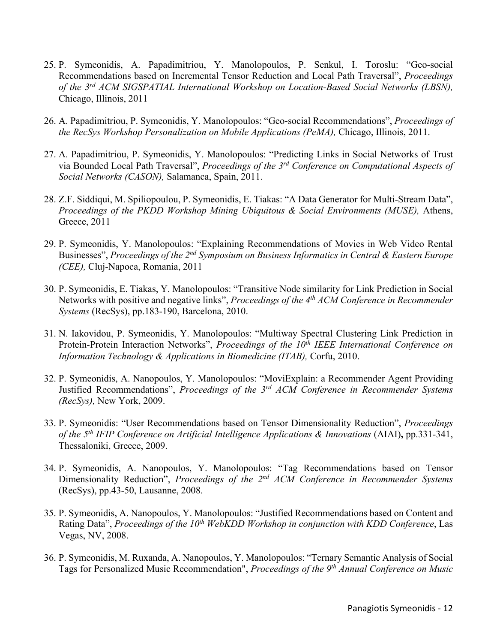- 25. P. Symeonidis, A. Papadimitriou, Y. Manolopoulos, P. Senkul, I. Toroslu: "Geo-social Recommendations based on Incremental Tensor Reduction and Local Path Traversal", *Proceedings of the 3rd ACM SIGSPATIAL International Workshop on Location-Based Social Networks (LBSN),* Chicago, Illinois, 2011
- 26. A. Papadimitriou, P. Symeonidis, Y. Manolopoulos: "Geo-social Recommendations", *Proceedings of the RecSys Workshop Personalization on Mobile Applications (PeMA),* Chicago, Illinois, 2011.
- 27. A. Papadimitriou, P. Symeonidis, Y. Manolopoulos: "Predicting Links in Social Networks of Trust via Bounded Local Path Traversal", *Proceedings of the 3rd Conference on Computational Aspects of Social Networks (CASON),* Salamanca, Spain, 2011.
- 28. Z.F. Siddiqui, M. Spiliopoulou, P. Symeonidis, E. Tiakas: "A Data Generator for Multi-Stream Data", *Proceedings of the PKDD Workshop Mining Ubiquitous & Social Environments (MUSE),* Athens, Greece, 2011
- 29. P. Symeonidis, Y. Manolopoulos: "Explaining Recommendations of Movies in Web Video Rental Businesses", *Proceedings of the 2nd Symposium on Business Informatics in Central & Eastern Europe (CEE),* Cluj-Napoca, Romania, 2011
- 30. P. Symeonidis, E. Tiakas, Y. Manolopoulos: "Transitive Node similarity for Link Prediction in Social Networks with positive and negative links", *Proceedings of the 4th ACM Conference in Recommender Systems* (RecSys), pp.183-190, Barcelona, 2010.
- 31. N. Iakovidou, P. Symeonidis, Y. Manolopoulos: "Multiway Spectral Clustering Link Prediction in Protein-Protein Interaction Networks", *Proceedings of the 10<sup>th</sup> IEEE International Conference on Information Technology & Applications in Biomedicine (ITAB),* Corfu, 2010.
- 32. P. Symeonidis, A. Nanopoulos, Y. Manolopoulos: "MoviExplain: a Recommender Agent Providing Justified Recommendations", *Proceedings of the 3rd ACM Conference in Recommender Systems (RecSys),* New York, 2009.
- 33. P. Symeonidis: "User Recommendations based on Tensor Dimensionality Reduction", *Proceedings of the 5th IFIP Conference on Artificial Intelligence Applications & Innovations* (AIAI)**,** pp.331-341, Thessaloniki, Greece, 2009.
- 34. P. Symeonidis, A. Nanopoulos, Y. Manolopoulos: "Tag Recommendations based on Tensor Dimensionality Reduction", *Proceedings of the 2nd ACM Conference in Recommender Systems* (RecSys), pp.43-50, Lausanne, 2008.
- 35. P. Symeonidis, A. Nanopoulos, Y. Manolopoulos: "Justified Recommendations based on Content and Rating Data", *Proceedings of the 10<sup>th</sup> WebKDD Workshop in conjunction with KDD Conference*, Las Vegas, NV, 2008.
- 36. P. Symeonidis, M. Ruxanda, A. Nanopoulos, Y. Manolopoulos: "Ternary Semantic Analysis of Social Tags for Personalized Music Recommendation", *Proceedings of the 9th Annual Conference on Music*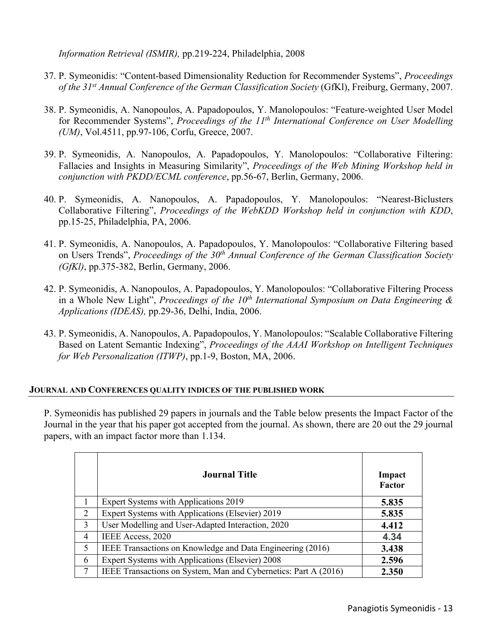*Information Retrieval (ISMIR),* pp.219-224, Philadelphia, 2008

- 37. P. Symeonidis: "Content-based Dimensionality Reduction for Recommender Systems", *Proceedings of the 31st Annual Conference of the German Classification Society* (GfKl), Freiburg, Germany, 2007.
- 38. P. Symeonidis, A. Nanopoulos, A. Papadopoulos, Y. Manolopoulos: "Feature-weighted User Model for Recommender Systems", *Proceedings of the 11th International Conference on User Modelling (UM)*, Vol.4511, pp.97-106, Corfu, Greece, 2007.
- 39. P. Symeonidis, A. Nanopoulos, A. Papadopoulos, Y. Manolopoulos: "Collaborative Filtering: Fallacies and Insights in Measuring Similarity", *Proceedings of the Web Mining Workshop held in conjunction with PKDD/ECML conference*, pp.56-67, Berlin, Germany, 2006.
- 40. P. Symeonidis, A. Nanopoulos, A. Papadopoulos, Y. Manolopoulos: "Nearest-Biclusters Collaborative Filtering", *Proceedings of the WebKDD Workshop held in conjunction with KDD*, pp.15-25, Philadelphia, PA, 2006.
- 41. P. Symeonidis, A. Nanopoulos, A. Papadopoulos, Y. Manolopoulos: "Collaborative Filtering based on Users Trends", *Proceedings of the 30th Annual Conference of the German Classification Society (GfKl)*, pp.375-382, Berlin, Germany, 2006.
- 42. P. Symeonidis, A. Nanopoulos, A. Papadopoulos, Y. Manolopoulos: "Collaborative Filtering Process in a Whole New Light", *Proceedings of the 10th International Symposium on Data Engineering & Applications (IDEAS),* pp.29-36, Delhi, India, 2006.
- 43. P. Symeonidis, A. Nanopoulos, A. Papadopoulos, Y. Manolopoulos: "Scalable Collaborative Filtering Based on Latent Semantic Indexing", *Proceedings of the AAAI Workshop on Intelligent Techniques for Web Personalization (ITWP)*, pp.1-9, Boston, MA, 2006.

### **JOURNAL AND CONFERENCES QUALITY INDICES OF THE PUBLISHED WORK**

P. Symeonidis has published 29 papers in journals and the Table below presents the Impact Factor of the Journal in the year that his paper got accepted from the journal. As shown, there are 20 out the 29 journal papers, with an impact factor more than 1.134.

|   | <b>Journal Title</b>                                            | Impact<br>Factor |
|---|-----------------------------------------------------------------|------------------|
|   | Expert Systems with Applications 2019                           | 5.835            |
| 2 | Expert Systems with Applications (Elsevier) 2019                | 5.835            |
| 3 | User Modelling and User-Adapted Interaction, 2020               | 4.412            |
| 4 | IEEE Access, 2020                                               | 4.34             |
| 5 | IEEE Transactions on Knowledge and Data Engineering (2016)      | 3.438            |
| 6 | Expert Systems with Applications (Elsevier) 2008                | 2.596            |
| 7 | IEEE Transactions on System, Man and Cybernetics: Part A (2016) | 2.350            |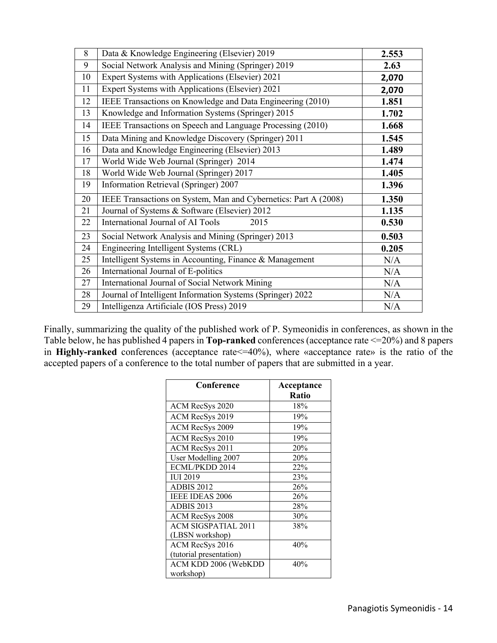| 8  | Data & Knowledge Engineering (Elsevier) 2019                    | 2.553 |
|----|-----------------------------------------------------------------|-------|
| 9  | Social Network Analysis and Mining (Springer) 2019              | 2.63  |
| 10 | Expert Systems with Applications (Elsevier) 2021                | 2,070 |
| 11 | Expert Systems with Applications (Elsevier) 2021                | 2,070 |
| 12 | IEEE Transactions on Knowledge and Data Engineering (2010)      | 1.851 |
| 13 | Knowledge and Information Systems (Springer) 2015               | 1.702 |
| 14 | IEEE Transactions on Speech and Language Processing (2010)      | 1.668 |
| 15 | Data Mining and Knowledge Discovery (Springer) 2011             | 1.545 |
| 16 | Data and Knowledge Engineering (Elsevier) 2013                  | 1.489 |
| 17 | World Wide Web Journal (Springer) 2014                          | 1.474 |
| 18 | World Wide Web Journal (Springer) 2017                          | 1.405 |
| 19 | Information Retrieval (Springer) 2007                           | 1.396 |
| 20 | IEEE Transactions on System, Man and Cybernetics: Part A (2008) | 1.350 |
| 21 | Journal of Systems & Software (Elsevier) 2012                   | 1.135 |
| 22 | International Journal of AI Tools<br>2015                       | 0.530 |
| 23 | Social Network Analysis and Mining (Springer) 2013              | 0.503 |
| 24 | Engineering Intelligent Systems (CRL)                           | 0.205 |
| 25 | Intelligent Systems in Accounting, Finance & Management         | N/A   |
| 26 | International Journal of E-politics                             | N/A   |
| 27 | International Journal of Social Network Mining                  | N/A   |
| 28 | Journal of Intelligent Information Systems (Springer) 2022      | N/A   |
| 29 | Intelligenza Artificiale (IOS Press) 2019                       | N/A   |

Finally, summarizing the quality of the published work of P. Symeonidis in conferences, as shown in the Table below, he has published 4 papers in **Top-ranked** conferences (acceptance rate <=20%) and 8 papers in **Highly-ranked** conferences (acceptance rate <= 40%), where «acceptance rate» is the ratio of the accepted papers of a conference to the total number of papers that are submitted in a year.

| Conference                 | Acceptance |
|----------------------------|------------|
|                            | Ratio      |
| ACM RecSys 2020            | 18%        |
| ACM RecSys 2019            | 19%        |
| ACM RecSys 2009            | 19%        |
| ACM RecSys 2010            | 19%        |
| ACM RecSys 2011            | 20%        |
| User Modelling 2007        | 20%        |
| ECML/PKDD 2014             | 22%        |
| <b>IUI 2019</b>            | 23%        |
| <b>ADBIS 2012</b>          | 26%        |
| <b>IEEE IDEAS 2006</b>     | 26%        |
| ADBIS 2013                 | 28%        |
| <b>ACM RecSys 2008</b>     | 30%        |
| <b>ACM SIGSPATIAL 2011</b> | 38%        |
| (LBSN workshop)            |            |
| ACM RecSys 2016            | 40%        |
| (tutorial presentation)    |            |
| ACM KDD 2006 (WebKDD       | 40%        |
| workshop)                  |            |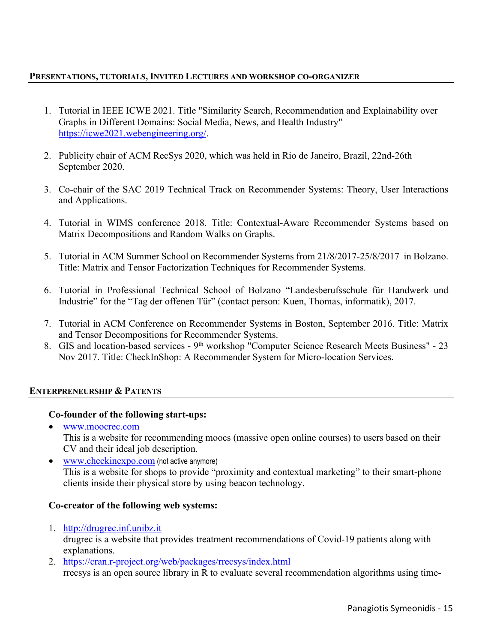### **PRESENTATIONS, TUTORIALS, INVITED LECTURES AND WORKSHOP CO-ORGANIZER**

- 1. Tutorial in IEEE ICWE 2021. Title "Similarity Search, Recommendation and Explainability over Graphs in Different Domains: Social Media, News, and Health Industry" https://icwe2021.webengineering.org/.
- 2. Publicity chair of ACM RecSys 2020, which was held in Rio de Janeiro, Brazil, 22nd-26th September 2020.
- 3. Co-chair of the SAC 2019 Technical Track on Recommender Systems: Theory, User Interactions and Applications.
- 4. Tutorial in WIMS conference 2018. Title: Contextual-Aware Recommender Systems based on Matrix Decompositions and Random Walks on Graphs.
- 5. Tutorial in ACM Summer School on Recommender Systems from 21/8/2017-25/8/2017 in Bolzano. Title: Matrix and Tensor Factorization Techniques for Recommender Systems.
- 6. Tutorial in Professional Technical School of Bolzano "Landesberufsschule für Handwerk und Industrie" for the "Tag der offenen Tür" (contact person: Kuen, Thomas, informatik), 2017.
- 7. Tutorial in ACM Conference on Recommender Systems in Boston, September 2016. Title: Matrix and Tensor Decompositions for Recommender Systems.
- 8. GIS and location-based services 9<sup>th</sup> workshop "Computer Science Research Meets Business" 23 Nov 2017. Title: CheckInShop: A Recommender System for Micro-location Services.

### **ENTERPRENEURSHIP & PATENTS**

### **Co-founder of the following start-ups:**

- www.moocrec.com This is a website for recommending moocs (massive open online courses) to users based on their CV and their ideal job description.
- www.checkinexpo.com (not active anymore) This is a website for shops to provide "proximity and contextual marketing" to their smart-phone clients inside their physical store by using beacon technology.

### **Co-creator of the following web systems:**

- 1. http://drugrec.inf.unibz.it drugrec is a website that provides treatment recommendations of Covid-19 patients along with explanations.
- 2. https://cran.r-project.org/web/packages/rrecsys/index.html rrecsys is an open source library in R to evaluate several recommendation algorithms using time-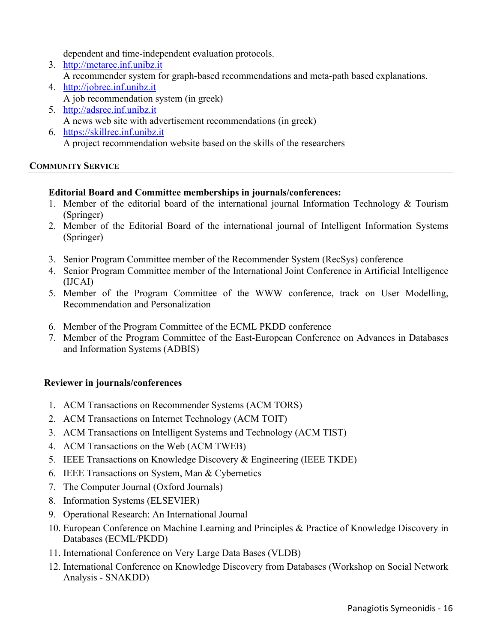dependent and time-independent evaluation protocols.

- 3. http://metarec.inf.unibz.it A recommender system for graph-based recommendations and meta-path based explanations.
- 4. http://jobrec.inf.unibz.it A job recommendation system (in greek)
- 5. http://adsrec.inf.unibz.it A news web site with advertisement recommendations (in greek)
- 6. https://skillrec.inf.unibz.it A project recommendation website based on the skills of the researchers

# **COMMUNITY SERVICE**

# **Editorial Board and Committee memberships in journals/conferences:**

- 1. Member of the editorial board of the international journal Information Technology  $\&$  Tourism (Springer)
- 2. Member of the Editorial Board of the international journal of Intelligent Information Systems (Springer)
- 3. Senior Program Committee member of the Recommender System (RecSys) conference
- 4. Senior Program Committee member of the International Joint Conference in Artificial Intelligence (IJCAI)
- 5. Member of the Program Committee of the WWW conference, track on User Modelling, Recommendation and Personalization
- 6. Member of the Program Committee of the ECML PKDD conference
- 7. Member of the Program Committee of the East-European Conference on Advances in Databases and Information Systems (ADBIS)

# **Reviewer in journals/conferences**

- 1. ACM Transactions on Recommender Systems (ACM TORS)
- 2. ACM Transactions on Internet Technology (ACM TOIT)
- 3. ACM Transactions on Intelligent Systems and Technology (ACM TIST)
- 4. ACM Transactions on the Web (ACM TWEB)
- 5. IEEE Transactions on Knowledge Discovery & Engineering (IEEE TKDE)
- 6. IEEE Transactions on System, Man & Cybernetics
- 7. The Computer Journal (Oxford Journals)
- 8. Information Systems (ELSEVIER)
- 9. Operational Research: An International Journal
- 10. European Conference on Machine Learning and Principles & Practice of Knowledge Discovery in Databases (ECML/PKDD)
- 11. International Conference on Very Large Data Bases (VLDB)
- 12. International Conference on Knowledge Discovery from Databases (Workshop on Social Network Analysis - SNAKDD)